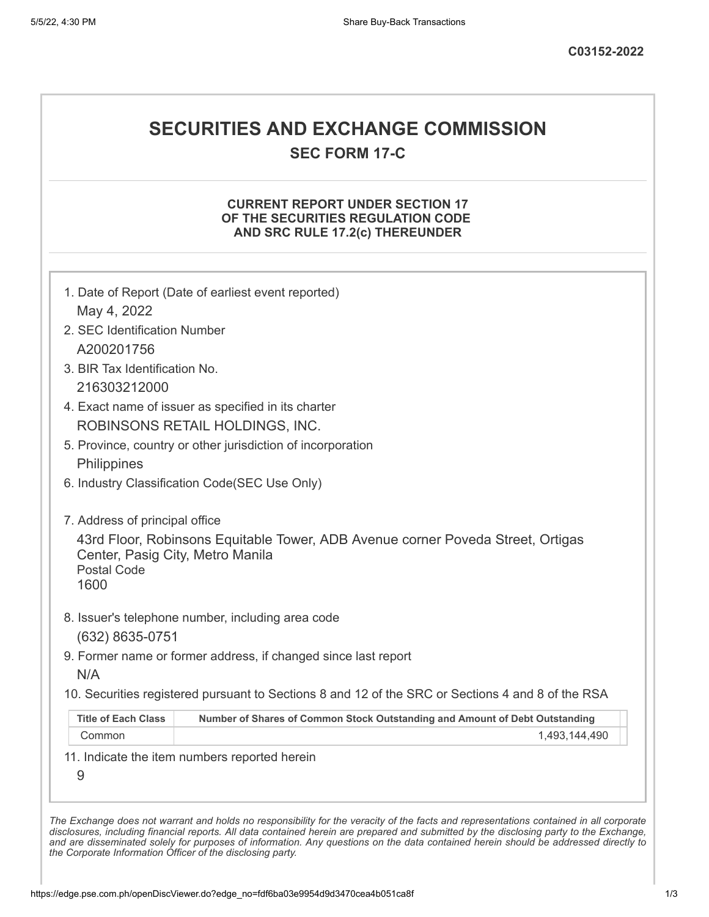# **SECURITIES AND EXCHANGE COMMISSION**

**SEC FORM 17-C**

### **CURRENT REPORT UNDER SECTION 17 OF THE SECURITIES REGULATION CODE AND SRC RULE 17.2(c) THEREUNDER**

|                                  | 1. Date of Report (Date of earliest event reported)                                               |
|----------------------------------|---------------------------------------------------------------------------------------------------|
| May 4, 2022                      |                                                                                                   |
| 2. SEC Identification Number     |                                                                                                   |
| A200201756                       |                                                                                                   |
| 3. BIR Tax Identification No.    |                                                                                                   |
| 216303212000                     |                                                                                                   |
|                                  | 4. Exact name of issuer as specified in its charter                                               |
|                                  | ROBINSONS RETAIL HOLDINGS, INC.                                                                   |
|                                  | 5. Province, country or other jurisdiction of incorporation                                       |
| Philippines                      |                                                                                                   |
|                                  | 6. Industry Classification Code(SEC Use Only)                                                     |
| 7. Address of principal office   |                                                                                                   |
|                                  | 43rd Floor, Robinsons Equitable Tower, ADB Avenue corner Poveda Street, Ortigas                   |
| Center, Pasig City, Metro Manila |                                                                                                   |
| <b>Postal Code</b><br>1600       |                                                                                                   |
|                                  |                                                                                                   |
|                                  | 8. Issuer's telephone number, including area code                                                 |
|                                  |                                                                                                   |
| (632) 8635-0751                  |                                                                                                   |
|                                  | 9. Former name or former address, if changed since last report                                    |
| N/A                              |                                                                                                   |
|                                  | 10. Securities registered pursuant to Sections 8 and 12 of the SRC or Sections 4 and 8 of the RSA |
| <b>Title of Each Class</b>       | Number of Shares of Common Stock Outstanding and Amount of Debt Outstanding                       |
| Common                           | 1,493,144,490                                                                                     |
|                                  | 11. Indicate the item numbers reported herein                                                     |
| 9                                |                                                                                                   |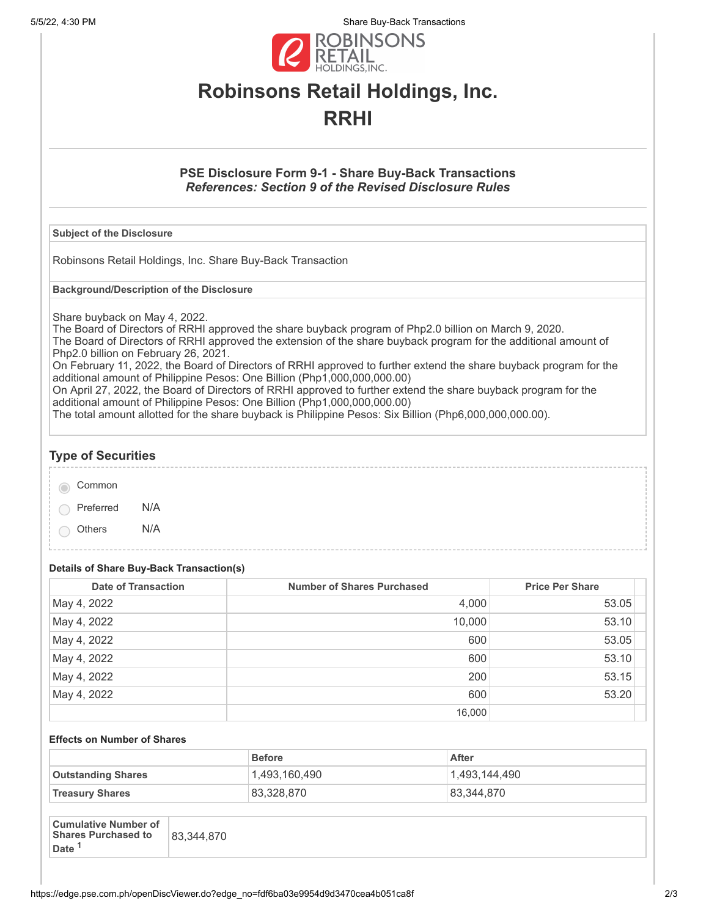5/5/22, 4:30 PM Share Buy-Back Transactions



# **Robinsons Retail Holdings, Inc. RRHI**

### **PSE Disclosure Form 9-1 - Share Buy-Back Transactions** *References: Section 9 of the Revised Disclosure Rules*

#### **Subject of the Disclosure**

Robinsons Retail Holdings, Inc. Share Buy-Back Transaction

**Background/Description of the Disclosure**

Share buyback on May 4, 2022.

The Board of Directors of RRHI approved the share buyback program of Php2.0 billion on March 9, 2020. The Board of Directors of RRHI approved the extension of the share buyback program for the additional amount of Php2.0 billion on February 26, 2021.

On February 11, 2022, the Board of Directors of RRHI approved to further extend the share buyback program for the additional amount of Philippine Pesos: One Billion (Php1,000,000,000.00)

On April 27, 2022, the Board of Directors of RRHI approved to further extend the share buyback program for the additional amount of Philippine Pesos: One Billion (Php1,000,000,000.00)

The total amount allotted for the share buyback is Philippine Pesos: Six Billion (Php6,000,000,000.00).

## **Type of Securities** Common Preferred N/A Others N/A

**Details of Share Buy-Back Transaction(s)**

| <b>Date of Transaction</b> | Number of Shares Purchased | <b>Price Per Share</b> |
|----------------------------|----------------------------|------------------------|
| May 4, 2022                | 4,000                      | 53.05                  |
| May 4, 2022                | 10,000                     | 53.10                  |
| May 4, 2022                | 600                        | 53.05                  |
| May 4, 2022                | 600                        | 53.10                  |
| May 4, 2022                | 200                        | 53.15                  |
| May 4, 2022                | 600                        | 53.20                  |
|                            | 16,000                     |                        |

#### **Effects on Number of Shares**

|                           | <b>Before</b> | After         |
|---------------------------|---------------|---------------|
| <b>Outstanding Shares</b> | 1,493,160,490 | 1,493,144,490 |
| <b>Treasury Shares</b>    | 83,328,870    | 83.344.870    |